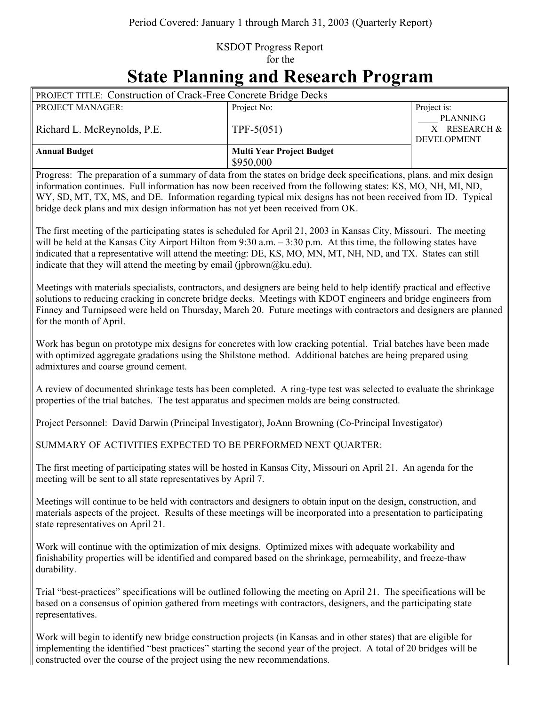## KSDOT Progress Report for the

## **State Planning and Research Program**

| <b>PROJECT TITLE: Construction of Crack-Free Concrete Bridge Decks</b> |                                                            |                                                       |
|------------------------------------------------------------------------|------------------------------------------------------------|-------------------------------------------------------|
| <b>PROJECT MANAGER:</b>                                                | Project No:                                                | Project is:                                           |
| Richard L. McReynolds, P.E.                                            | TPF-5 $(051)$                                              | <b>PLANNING</b><br>X RESEARCH &<br><b>DEVELOPMENT</b> |
| <b>Annual Budget</b>                                                   | <b>Multi Year Project Budget</b>                           |                                                       |
|                                                                        | \$950,000                                                  |                                                       |
| <b>CONTENT</b><br>$\sim$                                               | $\cdot$ $\sim$ $\cdot$<br>$\alpha$ is $\alpha$ if $\alpha$ |                                                       |

Progress: The preparation of a summary of data from the states on bridge deck specifications, plans, and mix design information continues. Full information has now been received from the following states: KS, MO, NH, MI, ND, WY, SD, MT, TX, MS, and DE. Information regarding typical mix designs has not been received from ID. Typical bridge deck plans and mix design information has not yet been received from OK.

The first meeting of the participating states is scheduled for April 21, 2003 in Kansas City, Missouri. The meeting will be held at the Kansas City Airport Hilton from 9:30 a.m. – 3:30 p.m. At this time, the following states have indicated that a representative will attend the meeting: DE, KS, MO, MN, MT, NH, ND, and TX. States can still indicate that they will attend the meeting by email (jpbrown@ku.edu).

Meetings with materials specialists, contractors, and designers are being held to help identify practical and effective solutions to reducing cracking in concrete bridge decks. Meetings with KDOT engineers and bridge engineers from Finney and Turnipseed were held on Thursday, March 20. Future meetings with contractors and designers are planned for the month of April.

Work has begun on prototype mix designs for concretes with low cracking potential. Trial batches have been made with optimized aggregate gradations using the Shilstone method. Additional batches are being prepared using admixtures and coarse ground cement.

A review of documented shrinkage tests has been completed. A ring-type test was selected to evaluate the shrinkage properties of the trial batches. The test apparatus and specimen molds are being constructed.

Project Personnel: David Darwin (Principal Investigator), JoAnn Browning (Co-Principal Investigator)

SUMMARY OF ACTIVITIES EXPECTED TO BE PERFORMED NEXT QUARTER:

The first meeting of participating states will be hosted in Kansas City, Missouri on April 21. An agenda for the meeting will be sent to all state representatives by April 7.

Meetings will continue to be held with contractors and designers to obtain input on the design, construction, and materials aspects of the project. Results of these meetings will be incorporated into a presentation to participating state representatives on April 21.

Work will continue with the optimization of mix designs. Optimized mixes with adequate workability and finishability properties will be identified and compared based on the shrinkage, permeability, and freeze-thaw durability.

Trial "best-practices" specifications will be outlined following the meeting on April 21. The specifications will be based on a consensus of opinion gathered from meetings with contractors, designers, and the participating state representatives.

Work will begin to identify new bridge construction projects (in Kansas and in other states) that are eligible for implementing the identified "best practices" starting the second year of the project. A total of 20 bridges will be constructed over the course of the project using the new recommendations.